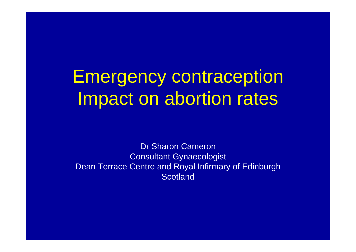Emergency contraception Impact on abortion rates

Dr Sharon Cameron Consultant Gynaecologist Dean Terrace Centre and Royal Infirmary of Edinburgh **Scotland**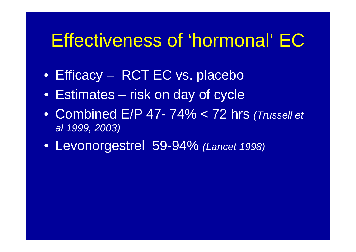### Effectiveness of 'hormonal' EC

- Efficacy RCT EC vs. placebo
- Estimates risk on day of cycle
- Combined E/P 47- 74% < 72 hrs *(Trussell et al 1999, 2003)*
- Levonorgestrel 59-94% *(Lancet 1998)*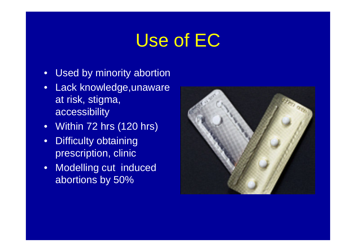# Use of EC

- Used by minority abortion
- Lack knowledge,unaware at risk, stigma, accessibility
- Within 72 hrs (120 hrs)
- Difficulty obtaining prescription, clinic
- Modelling cut induced abortions by 50%

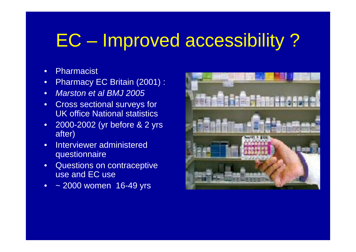# EC – Improved accessibility ?

- Pharmacist
- Pharmacy EC Britain (2001) :
- *Marston et al BMJ 2005*
- Cross sectional surveys for UK office National statistics
- 2000-2002 (yr before & 2 yrs after)
- Interviewer administered questionnaire
- Questions on contraceptive use and EC use
- ~ 2000 women 16-49 yrs

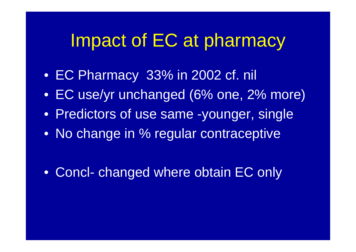## Impact of EC at pharmacy

- EC Pharmacy 33% in 2002 cf. nil
- EC use/yr unchanged (6% one, 2% more)
- Predictors of use same -younger, single
- No change in % regular contraceptive

• Concl- changed where obtain EC only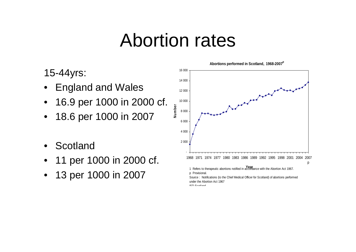# Abortion rates

#### 15-44yrs:

- England and Wales
- 16.9 per 1000 in 2000 cf.
- 18.6 per 1000 in 2007
- **Scotland**
- 11 per 1000 in 2000 cf.
- 13 per 1000 in 2007

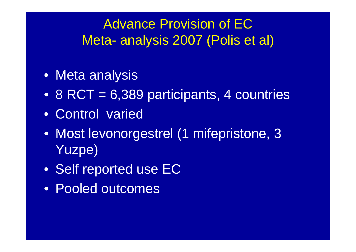#### Advance Provision of EC Meta- analysis 2007 (Polis et al)

- Meta analysis
- 8 RCT = 6,389 participants, 4 countries
- Control varied
- Most levonorgestrel (1 mifepristone, 3 Yuzpe)
- Self reported use EC
- Pooled outcomes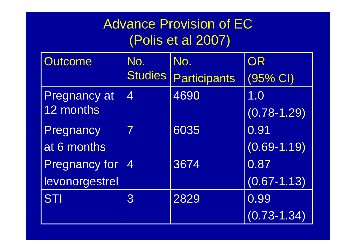### Advance Provision of EC (Polis et al 2007)

| Outcome              | No.            | No.                 | OR              |
|----------------------|----------------|---------------------|-----------------|
|                      | <b>Studies</b> | <b>Participants</b> | $(95%$ CI)      |
| <b>Pregnancy at</b>  | $\overline{4}$ | 4690                | 1.0             |
| 12 months            |                |                     | $(0.78 - 1.29)$ |
| Pregnancy            | 7              | 6035                | 0.91            |
| at 6 months          |                |                     | $(0.69 - 1.19)$ |
| <b>Pregnancy for</b> | 4              | 3674                | 0.87            |
| levonorgestrel       |                |                     | $(0.67 - 1.13)$ |
| <b>STI</b>           | 3              | 2829                | 0.99            |
|                      |                |                     | $(0.73 - 1.34)$ |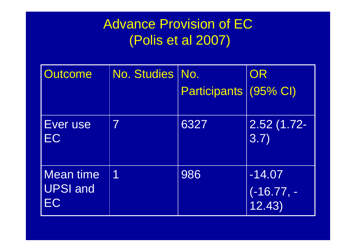### Advance Provision of EC (Polis et al 2007)

| <b>Outcome</b>                            | <b>No. Studies</b> | No.                 | OR                                |
|-------------------------------------------|--------------------|---------------------|-----------------------------------|
|                                           |                    | <b>Participants</b> | $(95% \text{ Cl})$                |
| Ever use<br>EC                            | 7                  | 6327                | $2.52(1.72 -$<br>3.7)             |
| <b>Mean time</b><br><b>UPSI and</b><br>EC | 1                  | 986                 | $-14.07$<br>$(-16.77,-$<br>12.43) |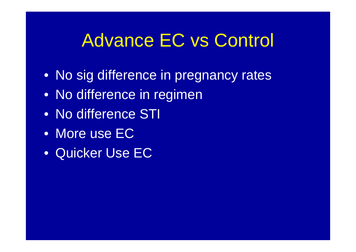# Advance EC vs Control

- No sig difference in pregnancy rates
- No difference in regimen
- No difference STI
- More use EC
- Quicker Use EC